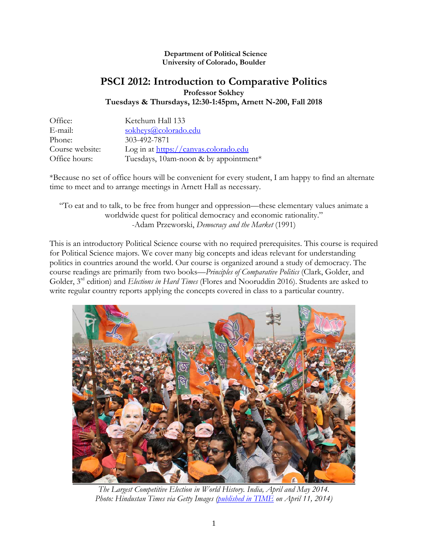#### **Department of Political Science University of Colorado, Boulder**

### **PSCI 2012: Introduction to Comparative Politics Professor Sokhey Tuesdays & Thursdays, 12:30-1:45pm, Arnett N-200, Fall 2018**

| Office:         | Ketchum Hall 133                      |
|-----------------|---------------------------------------|
| E-mail:         | sokheys@colorado.edu                  |
| Phone:          | 303-492-7871                          |
| Course website: | Log in at https://canvas.colorado.edu |
| Office hours:   | Tuesdays, 10am-noon & by appointment* |

\*Because no set of office hours will be convenient for every student, I am happy to find an alternate time to meet and to arrange meetings in Arnett Hall as necessary.

"To eat and to talk, to be free from hunger and oppression—these elementary values animate a worldwide quest for political democracy and economic rationality." -Adam Przeworski, *Democracy and the Market* (1991)

This is an introductory Political Science course with no required prerequisites. This course is required for Political Science majors. We cover many big concepts and ideas relevant for understanding politics in countries around the world. Our course is organized around a study of democracy. The course readings are primarily from two books—*Principles of Comparative Politics* (Clark, Golder, and Golder, 3rd edition) and *Elections in Hard Times* (Flores and Nooruddin 2016). Students are asked to write regular country reports applying the concepts covered in class to a particular country.



*The Largest Competitive Election in World History. India, April and May 2014. Photo: Hindustan Times via Getty Images [\(published in TIME](http://time.com/33062/india-elections-expenditure/) on April 11, 2014)*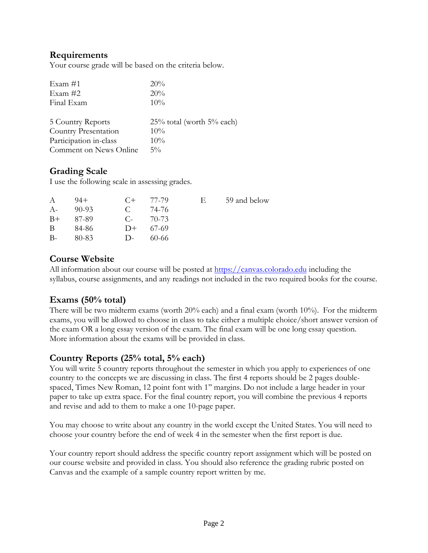## **Requirements**

Your course grade will be based on the criteria below.

| Exam $#1$              | 20%                             |
|------------------------|---------------------------------|
| Exam $#2$              | 20%                             |
| Final Exam             | 10%                             |
|                        |                                 |
| 5 Country Reports      | $25\%$ total (worth $5\%$ each) |
| Country Presentation   | 10%                             |
| Participation in-class | 10%                             |
| Comment on News Online | $5\%$                           |

# **Grading Scale**

I use the following scale in assessing grades.

| $\mathsf{A}$ | $94+$ | $C++$        | 77-79 | Е. | 59 and below |
|--------------|-------|--------------|-------|----|--------------|
| $A-$         | 90-93 | C.           | 74-76 |    |              |
| $B+$         | 87-89 | $C_{\tau}$   | 70-73 |    |              |
| <sup>B</sup> | 84-86 | $D+ 67-69$   |       |    |              |
| $B -$        | 80-83 | $\mathbf{D}$ | 60-66 |    |              |

# **Course Website**

All information about our course will be posted at [https://canvas.colorado.edu](https://canvas.colorado.edu/) including the syllabus, course assignments, and any readings not included in the two required books for the course.

# **Exams (50% total)**

There will be two midterm exams (worth 20% each) and a final exam (worth 10%). For the midterm exams, you will be allowed to choose in class to take either a multiple choice/short answer version of the exam OR a long essay version of the exam. The final exam will be one long essay question. More information about the exams will be provided in class.

# **Country Reports (25% total, 5% each)**

You will write 5 country reports throughout the semester in which you apply to experiences of one country to the concepts we are discussing in class. The first 4 reports should be 2 pages doublespaced, Times New Roman, 12 point font with 1'' margins. Do not include a large header in your paper to take up extra space. For the final country report, you will combine the previous 4 reports and revise and add to them to make a one 10-page paper.

You may choose to write about any country in the world except the United States. You will need to choose your country before the end of week 4 in the semester when the first report is due.

Your country report should address the specific country report assignment which will be posted on our course website and provided in class. You should also reference the grading rubric posted on Canvas and the example of a sample country report written by me.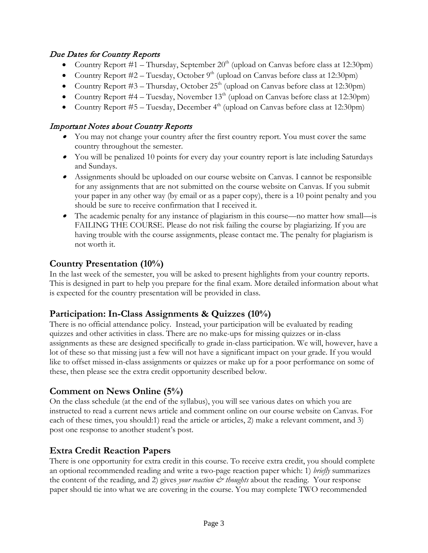### Due Dates for Country Reports

- Country Report #1 Thursday, September  $20<sup>th</sup>$  (upload on Canvas before class at 12:30pm)
- Country Report  $\#2$  Tuesday, October  $9<sup>th</sup>$  (upload on Canvas before class at 12:30pm)
- Country Report  $#3$  Thursday, October  $25<sup>th</sup>$  (upload on Canvas before class at 12:30pm)
- Country Report  $#4$  Tuesday, November  $13<sup>th</sup>$  (upload on Canvas before class at 12:30pm)
- Country Report  $#5$  Tuesday, December  $4<sup>th</sup>$  (upload on Canvas before class at 12:30pm)

### Important Notes about Country Reports

- You may not change your country after the first country report. You must cover the same country throughout the semester.
- You will be penalized 10 points for every day your country report is late including Saturdays and Sundays.
- Assignments should be uploaded on our course website on Canvas. I cannot be responsible for any assignments that are not submitted on the course website on Canvas. If you submit your paper in any other way (by email or as a paper copy), there is a 10 point penalty and you should be sure to receive confirmation that I received it.
- The academic penalty for any instance of plagiarism in this course—no matter how small—is FAILING THE COURSE. Please do not risk failing the course by plagiarizing. If you are having trouble with the course assignments, please contact me. The penalty for plagiarism is not worth it.

# **Country Presentation (10%)**

In the last week of the semester, you will be asked to present highlights from your country reports. This is designed in part to help you prepare for the final exam. More detailed information about what is expected for the country presentation will be provided in class.

# **Participation: In-Class Assignments & Quizzes (10%)**

There is no official attendance policy. Instead, your participation will be evaluated by reading quizzes and other activities in class. There are no make-ups for missing quizzes or in-class assignments as these are designed specifically to grade in-class participation. We will, however, have a lot of these so that missing just a few will not have a significant impact on your grade. If you would like to offset missed in-class assignments or quizzes or make up for a poor performance on some of these, then please see the extra credit opportunity described below.

# **Comment on News Online (5%)**

On the class schedule (at the end of the syllabus), you will see various dates on which you are instructed to read a current news article and comment online on our course website on Canvas. For each of these times, you should:1) read the article or articles, 2) make a relevant comment, and 3) post one response to another student's post.

# **Extra Credit Reaction Papers**

There is one opportunity for extra credit in this course. To receive extra credit, you should complete an optional recommended reading and write a two-page reaction paper which: 1) *briefly* summarizes the content of the reading, and 2) gives *your reaction*  $\acute{\text{c}}$  *thoughts* about the reading. Your response paper should tie into what we are covering in the course. You may complete TWO recommended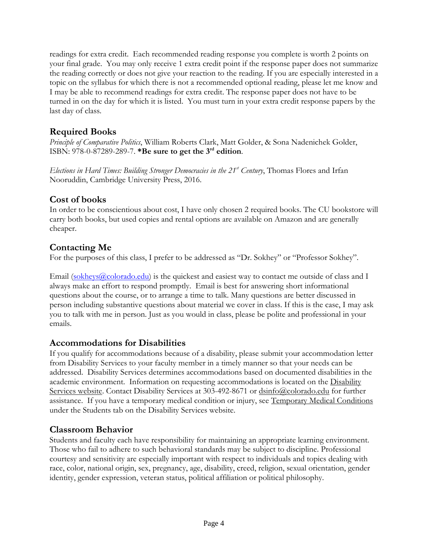readings for extra credit. Each recommended reading response you complete is worth 2 points on your final grade. You may only receive 1 extra credit point if the response paper does not summarize the reading correctly or does not give your reaction to the reading. If you are especially interested in a topic on the syllabus for which there is not a recommended optional reading, please let me know and I may be able to recommend readings for extra credit. The response paper does not have to be turned in on the day for which it is listed. You must turn in your extra credit response papers by the last day of class.

# **Required Books**

*Principle of Comparative Politics*, William Roberts Clark, Matt Golder, & Sona Nadenichek Golder, ISBN: 978-0-87289-289-7. **\*Be sure to get the 3rd edition**.

*Elections in Hard Times: Building Stronger Democracies in the 21st Century*, Thomas Flores and Irfan Nooruddin, Cambridge University Press, 2016.

# **Cost of books**

In order to be conscientious about cost, I have only chosen 2 required books. The CU bookstore will carry both books, but used copies and rental options are available on Amazon and are generally cheaper.

# **Contacting Me**

For the purposes of this class, I prefer to be addressed as "Dr. Sokhey" or "Professor Sokhey".

Email  $(sokheys@colorado.edu)$  is the quickest and easiest way to contact me outside of class and I always make an effort to respond promptly. Email is best for answering short informational questions about the course, or to arrange a time to talk. Many questions are better discussed in person including substantive questions about material we cover in class. If this is the case, I may ask you to talk with me in person. Just as you would in class, please be polite and professional in your emails.

# **Accommodations for Disabilities**

If you qualify for accommodations because of a disability, please submit your accommodation letter from Disability Services to your faculty member in a timely manner so that your needs can be addressed. Disability Services determines accommodations based on documented disabilities in the academic environment. Information on requesting accommodations is located on the Disability [Services website.](http://www.colorado.edu/disabilityservices/students) Contact Disability Services at 303-492-8671 or [dsinfo@colorado.edu](mailto:dsinfo@colorado.edu) for further assistance. If you have a temporary medical condition or injury, see [Temporary Medical Conditions](http://www.colorado.edu/disabilityservices/students/temporary-medical-conditions) under the Students tab on the Disability Services website.

# **Classroom Behavior**

Students and faculty each have responsibility for maintaining an appropriate learning environment. Those who fail to adhere to such behavioral standards may be subject to discipline. Professional courtesy and sensitivity are especially important with respect to individuals and topics dealing with race, color, national origin, sex, pregnancy, age, disability, creed, religion, sexual orientation, gender identity, gender expression, veteran status, political affiliation or political philosophy.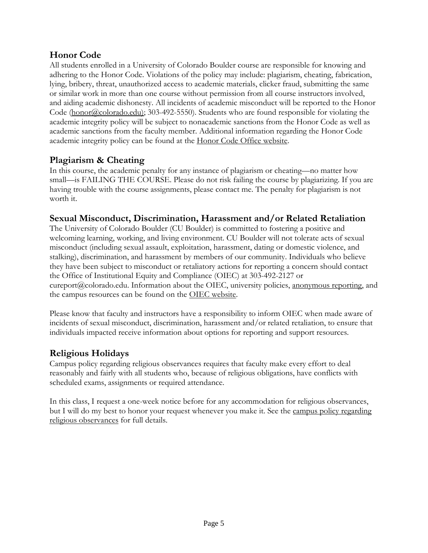## **Honor Code**

All students enrolled in a University of Colorado Boulder course are responsible for knowing and adhering to the Honor Code. Violations of the policy may include: plagiarism, cheating, fabrication, lying, bribery, threat, unauthorized access to academic materials, clicker fraud, submitting the same or similar work in more than one course without permission from all course instructors involved, and aiding academic dishonesty. All incidents of academic misconduct will be reported to the Honor Code [\(honor@colorado.edu\)](mailto:honor@colorado.edu); 303-492-5550). Students who are found responsible for violating the academic integrity policy will be subject to nonacademic sanctions from the Honor Code as well as academic sanctions from the faculty member. Additional information regarding the Honor Code academic integrity policy can be found at the [Honor Code Office website.](https://www.colorado.edu/osccr/honor-code)

### **Plagiarism & Cheating**

In this course, the academic penalty for any instance of plagiarism or cheating—no matter how small—is FAILING THE COURSE. Please do not risk failing the course by plagiarizing. If you are having trouble with the course assignments, please contact me. The penalty for plagiarism is not worth it.

### **Sexual Misconduct, Discrimination, Harassment and/or Related Retaliation**

The University of Colorado Boulder (CU Boulder) is committed to fostering a positive and welcoming learning, working, and living environment. CU Boulder will not tolerate acts of sexual misconduct (including sexual assault, exploitation, harassment, dating or domestic violence, and stalking), discrimination, and harassment by members of our community. Individuals who believe they have been subject to misconduct or retaliatory actions for reporting a concern should contact the Office of Institutional Equity and Compliance (OIEC) at 303-492-2127 or cureport@colorado.edu. Information about the OIEC, university policies, [anonymous reporting,](https://cuboulder.qualtrics.com/jfe/form/SV_0PnqVK4kkIJIZnf) and the campus resources can be found on the [OIEC website.](http://www.colorado.edu/institutionalequity/)

Please know that faculty and instructors have a responsibility to inform OIEC when made aware of incidents of sexual misconduct, discrimination, harassment and/or related retaliation, to ensure that individuals impacted receive information about options for reporting and support resources.

# **Religious Holidays**

Campus policy regarding religious observances requires that faculty make every effort to deal reasonably and fairly with all students who, because of religious obligations, have conflicts with scheduled exams, assignments or required attendance.

In this class, I request a one-week notice before for any accommodation for religious observances, but I will do my best to honor your request whenever you make it. See the [campus policy regarding](http://www.colorado.edu/policies/observance-religious-holidays-and-absences-classes-andor-exams)  [religious observances](http://www.colorado.edu/policies/observance-religious-holidays-and-absences-classes-andor-exams) for full details.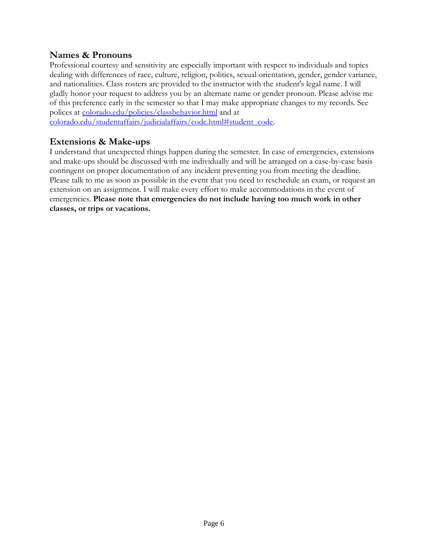### **Names & Pronouns**

Professional courtesy and sensitivity are especially important with respect to individuals and topics dealing with differences of race, culture, religion, politics, sexual orientation, gender, gender variance, and nationalities. Class rosters are provided to the instructor with the student's legal name. I will gladly honor your request to address you by an alternate name or gender pronoun. Please advise me of this preference early in the semester so that I may make appropriate changes to my records. See polices at [colorado.edu/policies/classbehavior.html](http://www.colorado.edu/policies/classbehavior.html) and at

[colorado.edu/studentaffairs/judicialaffairs/code.html#student\\_code.](http://www.colorado.edu/studentaffairs/judicialaffairs/code.html)

### **Extensions & Make-ups**

I understand that unexpected things happen during the semester. In case of emergencies, extensions and make-ups should be discussed with me individually and will be arranged on a case-by-case basis contingent on proper documentation of any incident preventing you from meeting the deadline. Please talk to me as soon as possible in the event that you need to reschedule an exam, or request an extension on an assignment. I will make every effort to make accommodations in the event of emergencies. **Please note that emergencies do not include having too much work in other classes, or trips or vacations.**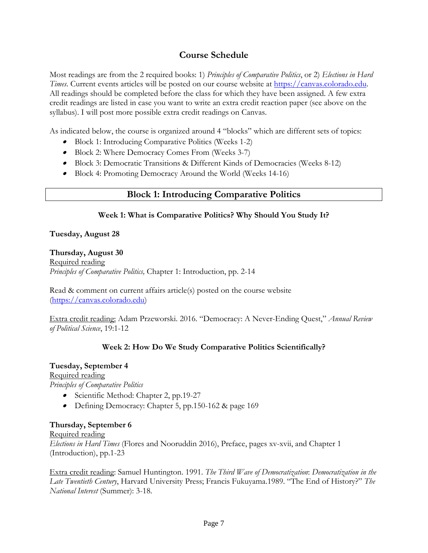# **Course Schedule**

Most readings are from the 2 required books: 1) *Principles of Comparative Politics*, or 2) *Elections in Hard Times*. Current events articles will be posted on our course website at [https://canvas.colorado.edu.](https://canvas.colorado.edu/) All readings should be completed before the class for which they have been assigned. A few extra credit readings are listed in case you want to write an extra credit reaction paper (see above on the syllabus). I will post more possible extra credit readings on Canvas.

As indicated below, the course is organized around 4 "blocks" which are different sets of topics:

- Block 1: Introducing Comparative Politics (Weeks 1-2)
- Block 2: Where Democracy Comes From (Weeks 3-7)
- Block 3: Democratic Transitions & Different Kinds of Democracies (Weeks 8-12)
- Block 4: Promoting Democracy Around the World (Weeks 14-16)

### **Block 1: Introducing Comparative Politics**

#### **Week 1: What is Comparative Politics? Why Should You Study It?**

#### **Tuesday, August 28**

**Thursday, August 30** Required reading *Principles of Comparative Politics,* Chapter 1: Introduction, pp. 2-14

Read & comment on current affairs article(s) posted on the course website [\(https://canvas.colorado.edu\)](https://canvas.colorado.edu/)

Extra credit reading: Adam Przeworski. 2016. "Democracy: A Never-Ending Quest," *Annual Review of Political Science*, 19:1-12

### **Week 2: How Do We Study Comparative Politics Scientifically?**

**Tuesday, September 4** Required reading *Principles of Comparative Politics*

- Scientific Method: Chapter 2, pp.19-27
- Defining Democracy: Chapter 5, pp.150-162 & page 169

# **Thursday, September 6**

Required reading *Elections in Hard Times* (Flores and Nooruddin 2016), Preface, pages xv-xvii, and Chapter 1 (Introduction), pp.1-23

Extra credit reading: Samuel Huntington. 1991. *The Third Wave of Democratization*: *Democratization in the Late Twentieth Century*, Harvard University Press; Francis Fukuyama.1989. "The End of History?" *The National Interest* (Summer): 3-18.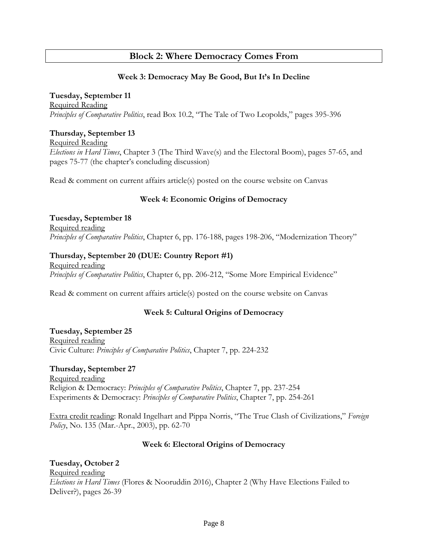### **Block 2: Where Democracy Comes From**

### **Week 3: Democracy May Be Good, But It's In Decline**

#### **Tuesday, September 11**

Required Reading *Principles of Comparative Politics*, read Box 10.2, "The Tale of Two Leopolds," pages 395-396

#### **Thursday, September 13**

Required Reading *Elections in Hard Times*, Chapter 3 (The Third Wave(s) and the Electoral Boom), pages 57-65, and pages 75-77 (the chapter's concluding discussion)

Read & comment on current affairs article(s) posted on the course website on Canvas

#### **Week 4: Economic Origins of Democracy**

**Tuesday, September 18** Required reading *Principles of Comparative Politics*, Chapter 6, pp. 176-188, pages 198-206, "Modernization Theory"

#### **Thursday, September 20 (DUE: Country Report #1)**

Required reading *Principles of Comparative Politics*, Chapter 6, pp. 206-212, "Some More Empirical Evidence"

Read & comment on current affairs article(s) posted on the course website on Canvas

#### **Week 5: Cultural Origins of Democracy**

**Tuesday, September 25** Required reading Civic Culture: *Principles of Comparative Politics*, Chapter 7, pp. 224-232

#### **Thursday, September 27**

Required reading Religion & Democracy: *Principles of Comparative Politics*, Chapter 7, pp. 237-254 Experiments & Democracy: *Principles of Comparative Politics*, Chapter 7, pp. 254-261

Extra credit reading: Ronald Ingelhart and Pippa Norris, "The True Clash of Civilizations," *Foreign Policy*, No. 135 (Mar.-Apr., 2003), pp. 62-70

#### **Week 6: Electoral Origins of Democracy**

**Tuesday, October 2** Required reading *Elections in Hard Times* (Flores & Nooruddin 2016), Chapter 2 (Why Have Elections Failed to Deliver?), pages 26-39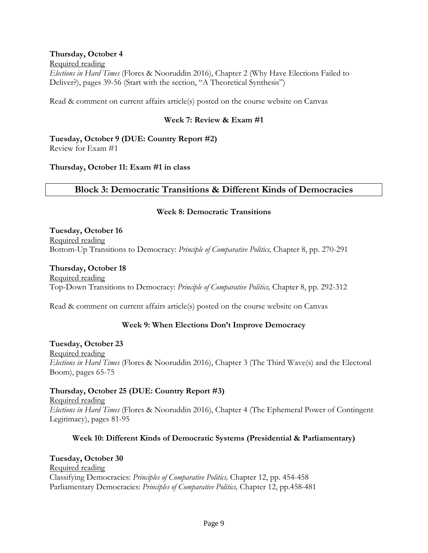#### **Thursday, October 4** Required reading *Elections in Hard Times* (Flores & Nooruddin 2016), Chapter 2 (Why Have Elections Failed to Deliver?), pages 39-56 (Start with the section, "A Theoretical Synthesis")

Read & comment on current affairs article(s) posted on the course website on Canvas

#### **Week 7: Review & Exam #1**

**Tuesday, October 9 (DUE: Country Report #2)** Review for Exam #1

**Thursday, October 11: Exam #1 in class**

### **Block 3: Democratic Transitions & Different Kinds of Democracies**

#### **Week 8: Democratic Transitions**

**Tuesday, October 16** Required reading Bottom-Up Transitions to Democracy: *Principle of Comparative Politics,* Chapter 8, pp. 270-291

**Thursday, October 18** Required reading Top-Down Transitions to Democracy: *Principle of Comparative Politics,* Chapter 8, pp. 292-312

Read & comment on current affairs article(s) posted on the course website on Canvas

#### **Week 9: When Elections Don't Improve Democracy**

**Tuesday, October 23** Required reading *Elections in Hard Times* (Flores & Nooruddin 2016), Chapter 3 (The Third Wave(s) and the Electoral Boom), pages 65-75

#### **Thursday, October 25 (DUE: Country Report #3)**

Required reading *Elections in Hard Times* (Flores & Nooruddin 2016), Chapter 4 (The Ephemeral Power of Contingent Legitimacy), pages 81-95

#### **Week 10: Different Kinds of Democratic Systems (Presidential & Parliamentary)**

**Tuesday, October 30** Required reading Classifying Democracies: *Principles of Comparative Politics,* Chapter 12, pp. 454-458 Parliamentary Democracies: *Principles of Comparative Politics,* Chapter 12, pp.458-481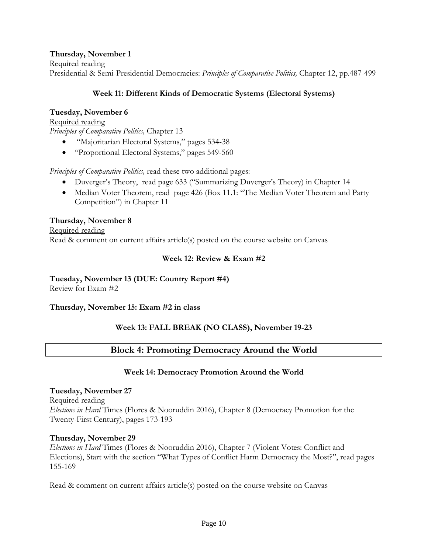**Thursday, November 1** Required reading Presidential & Semi-Presidential Democracies: *Principles of Comparative Politics,* Chapter 12, pp.487-499

#### **Week 11: Different Kinds of Democratic Systems (Electoral Systems)**

#### **Tuesday, November 6**

Required reading *Principles of Comparative Politics,* Chapter 13

- "Majoritarian Electoral Systems," pages 534-38
- "Proportional Electoral Systems," pages 549-560

*Principles of Comparative Politics,* read these two additional pages:

- Duverger's Theory, read page 633 ("Summarizing Duverger's Theory) in Chapter 14
- Median Voter Theorem, read page 426 (Box 11.1: "The Median Voter Theorem and Party Competition") in Chapter 11

#### **Thursday, November 8** Required reading Read & comment on current affairs article(s) posted on the course website on Canvas

### **Week 12: Review & Exam #2**

### **Tuesday, November 13 (DUE: Country Report #4)**

Review for Exam #2

#### **Thursday, November 15: Exam #2 in class**

### **Week 13: FALL BREAK (NO CLASS), November 19-23**

### **Block 4: Promoting Democracy Around the World**

#### **Week 14: Democracy Promotion Around the World**

### **Tuesday, November 27** Required reading *Elections in Hard* Times (Flores & Nooruddin 2016), Chapter 8 (Democracy Promotion for the Twenty-First Century), pages 173-193

#### **Thursday, November 29**

*Elections in Hard* Times (Flores & Nooruddin 2016), Chapter 7 (Violent Votes: Conflict and Elections), Start with the section "What Types of Conflict Harm Democracy the Most?", read pages 155-169

Read & comment on current affairs article(s) posted on the course website on Canvas